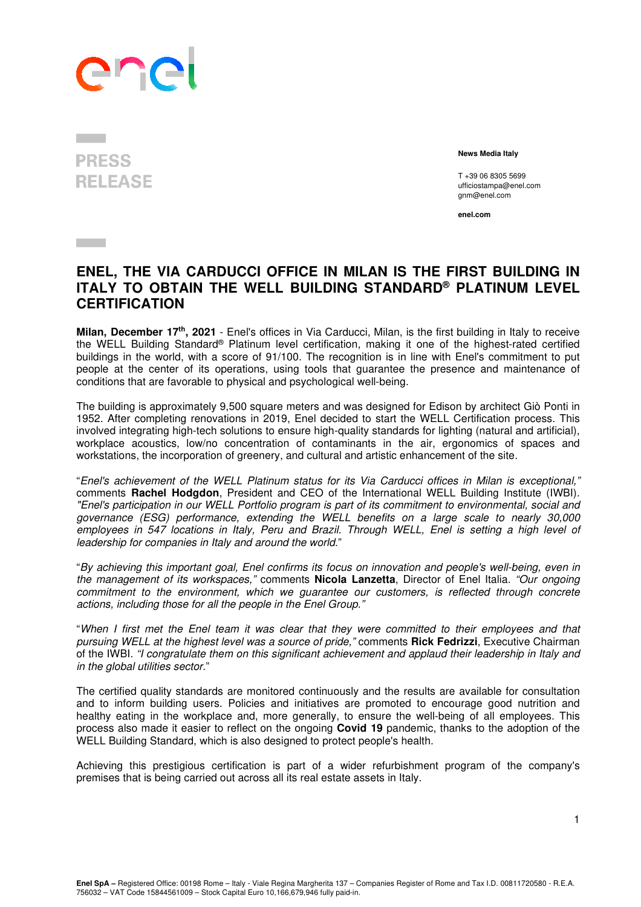# Phe

## **PRESS RELEASE**

**Contract** 

 **News Media Italy** 

T +39 06 8305 5699 ufficiostampa@enel.com gnm@enel.com

**enel.com**

### **ENEL, THE VIA CARDUCCI OFFICE IN MILAN IS THE FIRST BUILDING IN ITALY TO OBTAIN THE WELL BUILDING STANDARD® PLATINUM LEVEL CERTIFICATION**

**Milan, December 17th, 2021** - Enel's offices in Via Carducci, Milan, is the first building in Italy to receive the WELL Building Standard® Platinum level certification, making it one of the highest-rated certified buildings in the world, with a score of 91/100. The recognition is in line with Enel's commitment to put people at the center of its operations, using tools that guarantee the presence and maintenance of conditions that are favorable to physical and psychological well-being.

The building is approximately 9,500 square meters and was designed for Edison by architect Giò Ponti in 1952. After completing renovations in 2019, Enel decided to start the WELL Certification process. This involved integrating high-tech solutions to ensure high-quality standards for lighting (natural and artificial), workplace acoustics, low/no concentration of contaminants in the air, ergonomics of spaces and workstations, the incorporation of greenery, and cultural and artistic enhancement of the site.

"Enel's achievement of the WELL Platinum status for its Via Carducci offices in Milan is exceptional," comments **Rachel Hodgdon**, President and CEO of the International WELL Building Institute (IWBI). "Enel's participation in our WELL Portfolio program is part of its commitment to environmental, social and governance (ESG) performance, extending the WELL benefits on a large scale to nearly 30,000 employees in 547 locations in Italy, Peru and Brazil. Through WELL, Enel is setting a high level of leadership for companies in Italy and around the world."

"By achieving this important goal, Enel confirms its focus on innovation and people's well-being, even in the management of its workspaces," comments **Nicola Lanzetta**, Director of Enel Italia. "Our ongoing commitment to the environment, which we guarantee our customers, is reflected through concrete actions, including those for all the people in the Enel Group."

"When I first met the Enel team it was clear that they were committed to their employees and that pursuing WELL at the highest level was a source of pride," comments **Rick Fedrizzi**, Executive Chairman of the IWBI. "I congratulate them on this significant achievement and applaud their leadership in Italy and in the global utilities sector."

The certified quality standards are monitored continuously and the results are available for consultation and to inform building users. Policies and initiatives are promoted to encourage good nutrition and healthy eating in the workplace and, more generally, to ensure the well-being of all employees. This process also made it easier to reflect on the ongoing **Covid 19** pandemic, thanks to the adoption of the WELL Building Standard, which is also designed to protect people's health.

Achieving this prestigious certification is part of a wider refurbishment program of the company's premises that is being carried out across all its real estate assets in Italy.